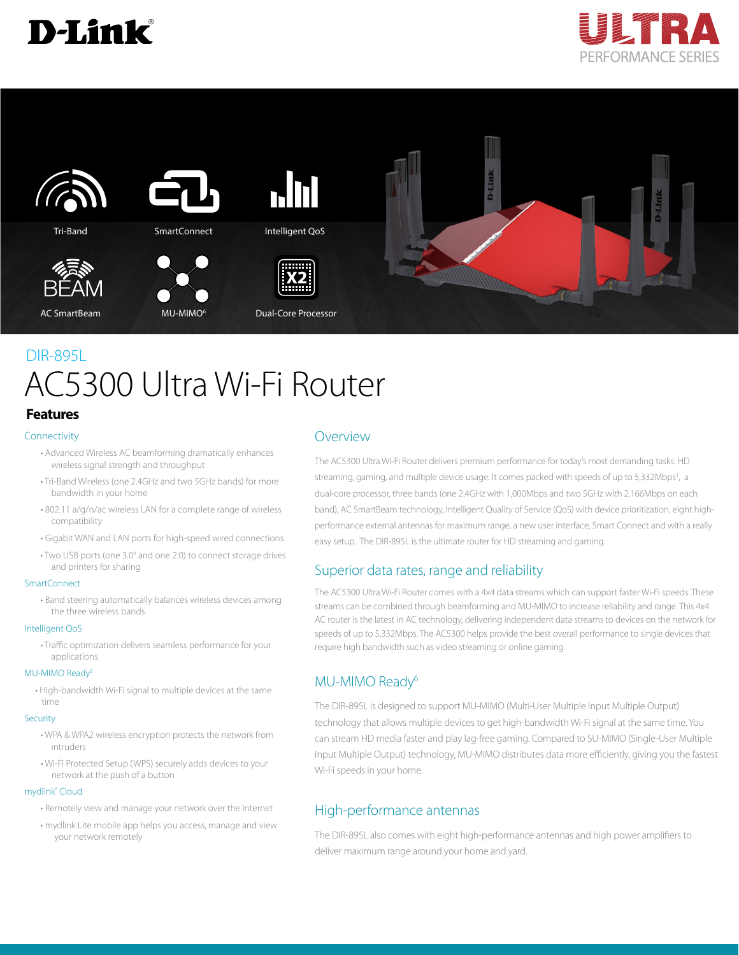





# AC5300 Ultra Wi-Fi Router DIR-895L

## **Features**

#### Connectivity

- Advanced Wireless AC beamforming dramatically enhances wireless signal strength and throughput
- Tri-Band Wireless (one 2.4GHz and two 5GHz bands) for more bandwidth in your home
- 802.11 a/g/n/ac wireless LAN for a complete range of wireless compatibility
- Gigabit WAN and LAN ports for high-speed wired connections
- Two USB ports (one 3.0<sup>4</sup> and one 2.0) to connect storage drives and printers for sharing

#### SmartConnect

• Band steering automatically balances wireless devices among the three wireless bands

#### Intelligent QoS

• Traffic optimization delivers seamless performance for your applications

#### MU-MIMO Ready<sup>6</sup>

• High-bandwidth Wi-Fi signal to multiple devices at the same time

#### **Security**

- WPA & WPA2 wireless encryption protects the network from intruders
- Wi-Fi Protected Setup (WPS) securely adds devices to your network at the push of a button

#### mydlink® Cloud

- Remotely view and manage your network over the Internet
- mydlink Lite mobile app helps you access, manage and view your network remotely

#### Overview

The AC5300 Ultra Wi-Fi Router delivers premium performance for today's most demanding tasks: HD streaming, gaming, and multiple device usage. It comes packed with speeds of up to 5,332Mbps<sup>1</sup>, a dual-core processor, three bands (one 2.4GHz with 1,000Mbps and two 5GHz with 2,166Mbps on each band), AC SmartBeam technology, Intelligent Quality of Service (QoS) with device prioritization, eight highperformance external antennas for maximum range, a new user interface, Smart Connect and with a really easy setup. The DIR-895L is the ultimate router for HD streaming and gaming.

# Superior data rates, range and reliability

The AC5300 Ultra Wi-Fi Router comes with a 4x4 data streams which can support faster Wi-Fi speeds. These streams can be combined through beamforming and MU-MIMO to increase reliability and range. This 4x4 AC router is the latest in AC technology, delivering independent data streams to devices on the network for speeds of up to 5,332Mbps. The AC5300 helps provide the best overall performance to single devices that require high bandwidth such as video streaming or online gaming.

## MU-MIMO Ready<sup>6</sup>

The DIR-895L is designed to support MU-MIMO (Multi-User Multiple Input Multiple Output) technology that allows multiple devices to get high-bandwidth Wi-Fi signal at the same time. You can stream HD media faster and play lag-free gaming. Compared to SU-MIMO (Single-User Multiple Input Multiple Output) technology, MU-MIMO distributes data more efficiently, giving you the fastest Wi-Fi speeds in your home.

# High-performance antennas

The DIR-895L also comes with eight high-performance antennas and high power amplifiers to deliver maximum range around your home and yard.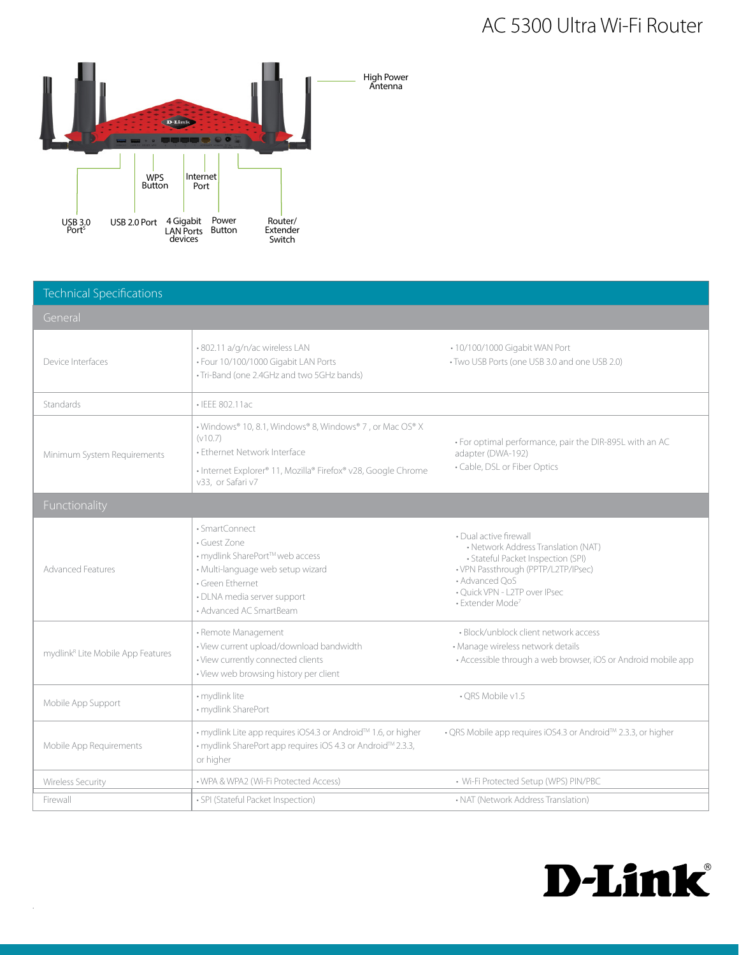# AC 5300 Ultra Wi-Fi Router



| <b>Technical Specifications</b>               |                                                                                                                                                                                           |                                                                                                                                                                                                                               |  |
|-----------------------------------------------|-------------------------------------------------------------------------------------------------------------------------------------------------------------------------------------------|-------------------------------------------------------------------------------------------------------------------------------------------------------------------------------------------------------------------------------|--|
| General                                       |                                                                                                                                                                                           |                                                                                                                                                                                                                               |  |
| Device Interfaces                             | .802.11 a/g/n/ac wireless LAN<br>· Four 10/100/1000 Gigabit LAN Ports<br>· Tri-Band (one 2.4GHz and two 5GHz bands)                                                                       | • 10/100/1000 Gigabit WAN Port<br>• Two USB Ports (one USB 3.0 and one USB 2.0)                                                                                                                                               |  |
| Standards                                     | · IEEE 802.11ac                                                                                                                                                                           |                                                                                                                                                                                                                               |  |
| Minimum System Requirements                   | • Windows® 10, 8.1, Windows® 8, Windows® 7, or Mac OS® X<br>(v10.7)<br>· Ethernet Network Interface<br>• Internet Explorer® 11, Mozilla® Firefox® v28, Google Chrome<br>v33. or Safari v7 | · For optimal performance, pair the DIR-895L with an AC<br>adapter (DWA-192)<br>• Cable, DSL or Fiber Optics                                                                                                                  |  |
| Functionality                                 |                                                                                                                                                                                           |                                                                                                                                                                                                                               |  |
| <b>Advanced Features</b>                      | · SmartConnect<br>· Guest Zone<br>• mydlink SharePort™ web access<br>· Multi-language web setup wizard<br>· Green Ethernet<br>· DLNA media server support<br>• Advanced AC SmartBeam      | • Dual active firewall<br>• Network Address Translation (NAT)<br>· Stateful Packet Inspection (SPI)<br>• VPN Passthrough (PPTP/L2TP/IPsec)<br>• Advanced QoS<br>· Quick VPN - L2TP over IPsec<br>· Extender Mode <sup>7</sup> |  |
| mydlink <sup>R</sup> Lite Mobile App Features | • Remote Management<br>· View current upload/download bandwidth<br>· View currently connected clients<br>· View web browsing history per client                                           | · Block/unblock client network access<br>· Manage wireless network details<br>• Accessible through a web browser, iOS or Android mobile app                                                                                   |  |
| Mobile App Support                            | · mydlink lite<br>· mydlink SharePort                                                                                                                                                     | • ORS Mobile v1.5                                                                                                                                                                                                             |  |
| Mobile App Requirements                       | • mydlink Lite app requires iOS4.3 or Android™ 1.6, or higher<br>• mydlink SharePort app requires iOS 4.3 or Android™ 2.3.3,<br>or higher                                                 | • QRS Mobile app requires iOS4.3 or Android™ 2.3.3, or higher                                                                                                                                                                 |  |
| <b>Wireless Security</b>                      | . WPA & WPA2 (Wi-Fi Protected Access)                                                                                                                                                     | • Wi-Fi Protected Setup (WPS) PIN/PBC                                                                                                                                                                                         |  |
| Firewall                                      | · SPI (Stateful Packet Inspection)                                                                                                                                                        | • NAT (Network Address Translation)                                                                                                                                                                                           |  |